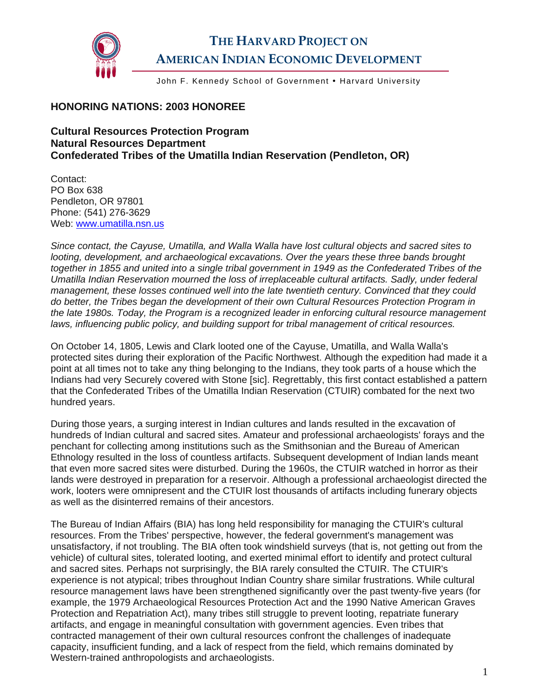

## **THE HARVARD PROJECT ON AMERICAN INDIAN ECONOMIC DEVELOPMENT**

John F. Kennedy School of Government • Harvard University

## **HONORING NATIONS: 2003 HONOREE**

**Cultural Resources Protection Program Natural Resources Department Confederated Tribes of the Umatilla Indian Reservation (Pendleton, OR)** 

Contact: PO Box 638 Pendleton, OR 97801 Phone: (541) 276-3629 Web: [www.umatilla.nsn.us](http://www.umatilla.nsn.us/) 

*Since contact, the Cayuse, Umatilla, and Walla Walla have lost cultural objects and sacred sites to looting, development, and archaeological excavations. Over the years these three bands brought together in 1855 and united into a single tribal government in 1949 as the Confederated Tribes of the Umatilla Indian Reservation mourned the loss of irreplaceable cultural artifacts. Sadly, under federal management, these losses continued well into the late twentieth century. Convinced that they could do better, the Tribes began the development of their own Cultural Resources Protection Program in the late 1980s. Today, the Program is a recognized leader in enforcing cultural resource management laws, influencing public policy, and building support for tribal management of critical resources.* 

On October 14, 1805, Lewis and Clark looted one of the Cayuse, Umatilla, and Walla Walla's protected sites during their exploration of the Pacific Northwest. Although the expedition had made it a point at all times not to take any thing belonging to the Indians, they took parts of a house which the Indians had very Securely covered with Stone [sic]. Regrettably, this first contact established a pattern that the Confederated Tribes of the Umatilla Indian Reservation (CTUIR) combated for the next two hundred years.

During those years, a surging interest in Indian cultures and lands resulted in the excavation of hundreds of Indian cultural and sacred sites. Amateur and professional archaeologists' forays and the penchant for collecting among institutions such as the Smithsonian and the Bureau of American Ethnology resulted in the loss of countless artifacts. Subsequent development of Indian lands meant that even more sacred sites were disturbed. During the 1960s, the CTUIR watched in horror as their lands were destroyed in preparation for a reservoir. Although a professional archaeologist directed the work, looters were omnipresent and the CTUIR lost thousands of artifacts including funerary objects as well as the disinterred remains of their ancestors.

The Bureau of Indian Affairs (BIA) has long held responsibility for managing the CTUIR's cultural resources. From the Tribes' perspective, however, the federal government's management was unsatisfactory, if not troubling. The BIA often took windshield surveys (that is, not getting out from the vehicle) of cultural sites, tolerated looting, and exerted minimal effort to identify and protect cultural and sacred sites. Perhaps not surprisingly, the BIA rarely consulted the CTUIR. The CTUIR's experience is not atypical; tribes throughout Indian Country share similar frustrations. While cultural resource management laws have been strengthened significantly over the past twenty-five years (for example, the 1979 Archaeological Resources Protection Act and the 1990 Native American Graves Protection and Repatriation Act), many tribes still struggle to prevent looting, repatriate funerary artifacts, and engage in meaningful consultation with government agencies. Even tribes that contracted management of their own cultural resources confront the challenges of inadequate capacity, insufficient funding, and a lack of respect from the field, which remains dominated by Western-trained anthropologists and archaeologists.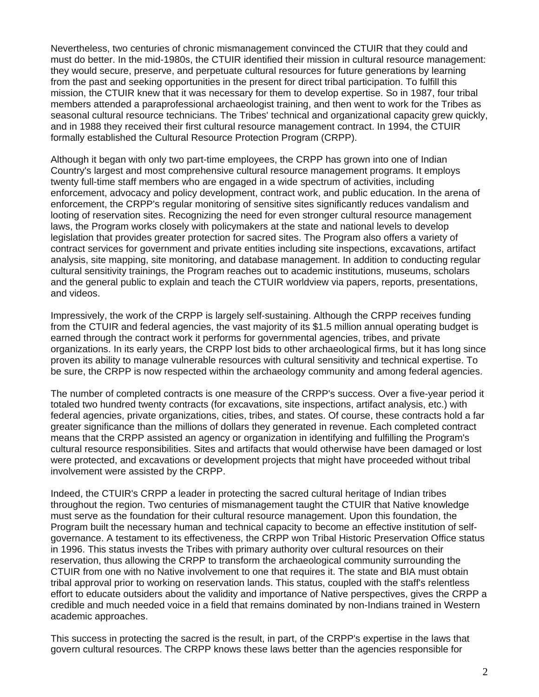Nevertheless, two centuries of chronic mismanagement convinced the CTUIR that they could and must do better. In the mid-1980s, the CTUIR identified their mission in cultural resource management: they would secure, preserve, and perpetuate cultural resources for future generations by learning from the past and seeking opportunities in the present for direct tribal participation. To fulfill this mission, the CTUIR knew that it was necessary for them to develop expertise. So in 1987, four tribal members attended a paraprofessional archaeologist training, and then went to work for the Tribes as seasonal cultural resource technicians. The Tribes' technical and organizational capacity grew quickly, and in 1988 they received their first cultural resource management contract. In 1994, the CTUIR formally established the Cultural Resource Protection Program (CRPP).

Although it began with only two part-time employees, the CRPP has grown into one of Indian Country's largest and most comprehensive cultural resource management programs. It employs twenty full-time staff members who are engaged in a wide spectrum of activities, including enforcement, advocacy and policy development, contract work, and public education. In the arena of enforcement, the CRPP's regular monitoring of sensitive sites significantly reduces vandalism and looting of reservation sites. Recognizing the need for even stronger cultural resource management laws, the Program works closely with policymakers at the state and national levels to develop legislation that provides greater protection for sacred sites. The Program also offers a variety of contract services for government and private entities including site inspections, excavations, artifact analysis, site mapping, site monitoring, and database management. In addition to conducting regular cultural sensitivity trainings, the Program reaches out to academic institutions, museums, scholars and the general public to explain and teach the CTUIR worldview via papers, reports, presentations, and videos.

Impressively, the work of the CRPP is largely self-sustaining. Although the CRPP receives funding from the CTUIR and federal agencies, the vast majority of its \$1.5 million annual operating budget is earned through the contract work it performs for governmental agencies, tribes, and private organizations. In its early years, the CRPP lost bids to other archaeological firms, but it has long since proven its ability to manage vulnerable resources with cultural sensitivity and technical expertise. To be sure, the CRPP is now respected within the archaeology community and among federal agencies.

The number of completed contracts is one measure of the CRPP's success. Over a five-year period it totaled two hundred twenty contracts (for excavations, site inspections, artifact analysis, etc.) with federal agencies, private organizations, cities, tribes, and states. Of course, these contracts hold a far greater significance than the millions of dollars they generated in revenue. Each completed contract means that the CRPP assisted an agency or organization in identifying and fulfilling the Program's cultural resource responsibilities. Sites and artifacts that would otherwise have been damaged or lost were protected, and excavations or development projects that might have proceeded without tribal involvement were assisted by the CRPP.

Indeed, the CTUIR's CRPP a leader in protecting the sacred cultural heritage of Indian tribes throughout the region. Two centuries of mismanagement taught the CTUIR that Native knowledge must serve as the foundation for their cultural resource management. Upon this foundation, the Program built the necessary human and technical capacity to become an effective institution of selfgovernance. A testament to its effectiveness, the CRPP won Tribal Historic Preservation Office status in 1996. This status invests the Tribes with primary authority over cultural resources on their reservation, thus allowing the CRPP to transform the archaeological community surrounding the CTUIR from one with no Native involvement to one that requires it. The state and BIA must obtain tribal approval prior to working on reservation lands. This status, coupled with the staff's relentless effort to educate outsiders about the validity and importance of Native perspectives, gives the CRPP a credible and much needed voice in a field that remains dominated by non-Indians trained in Western academic approaches.

This success in protecting the sacred is the result, in part, of the CRPP's expertise in the laws that govern cultural resources. The CRPP knows these laws better than the agencies responsible for